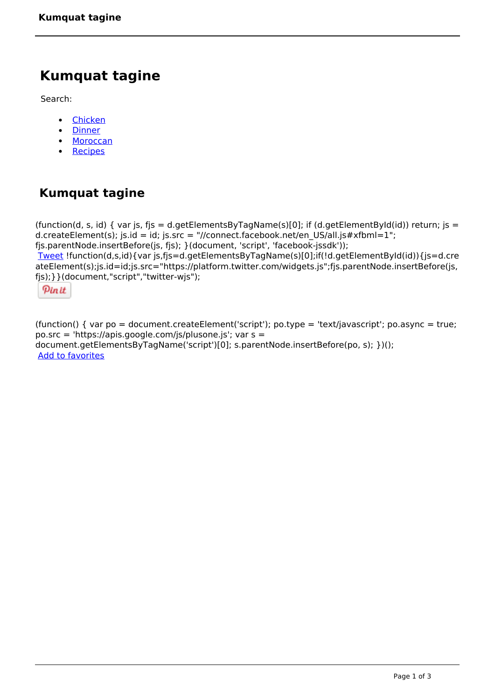# **Kumquat tagine**

Search:

- [Chicken](https://www.naturalhealthmag.com.au/nourish/chicken)  $\bullet$
- **[Dinner](https://www.naturalhealthmag.com.au/nourish/dinner-ideas)**  $\bullet$
- [Moroccan](https://www.naturalhealthmag.com.au/nourish/moroccan)
- [Recipes](https://www.naturalhealthmag.com.au/nourish/recipes)

# **Kumquat tagine**

```
(function(d, s, id) { var js, fjs = d.getElementsByTagName(s)[0]; if (d.getElementById(id)) return; js =
d.createElement(s); js.id = id; js.src = "//connect.facebook.net/en_US/all.js#xfbml=1";
fjs.parentNode.insertBefore(js, fjs); }(document, 'script', 'facebook-jssdk')); 
Tweet !function(d,s,id){var js,fjs=d.getElementsByTagName(s)[0];if(!d.getElementById(id)){js=d.cre
ateElement(s);js.id=id;js.src="https://platform.twitter.com/widgets.js";fjs.parentNode.insertBefore(js,
fjs);}}(document,"script","twitter-wjs");
```
Pinit

(function() { var po = document.createElement('script'); po.type = 'text/javascript'; po.async = true; po.src = 'https://apis.google.com/js/plusone.js'; var s = document.getElementsByTagName('script')[0]; s.parentNode.insertBefore(po, s); })(); Add to favorites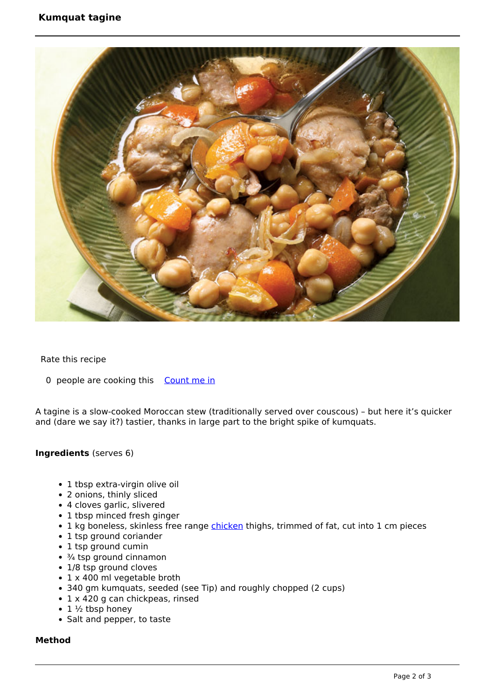## **Kumquat tagine**



#### Rate this recipe

0 people are cooking this [Count me in](https://www.naturalhealthmag.com.au/flag/flag/favorites/634?destination=printpdf%2F634&token=778bc3abba20dd2c593a31d3ff368927)

A tagine is a slow-cooked Moroccan stew (traditionally served over couscous) – but here it's quicker and (dare we say it?) tastier, thanks in large part to the bright spike of kumquats.

#### **Ingredients** (serves 6)

- 1 tbsp extra-virgin olive oil
- 2 onions, thinly sliced
- 4 cloves garlic, slivered
- 1 tbsp minced fresh ginger
- 1 kg boneless, skinless free range [chicken](http://www.naturalhealthmag.com.au/nourish/chicken) thighs, trimmed of fat, cut into 1 cm pieces
- 1 tsp ground coriander
- 1 tsp ground cumin
- $\cdot$   $\frac{3}{4}$  tsp ground cinnamon
- 1/8 tsp ground cloves
- 1 x 400 ml vegetable broth
- 340 gm kumquats, seeded (see Tip) and roughly chopped (2 cups)
- 1 x 420 g can chickpeas, rinsed
- $\cdot$  1  $\frac{1}{2}$  tbsp honey
- Salt and pepper, to taste

#### **Method**